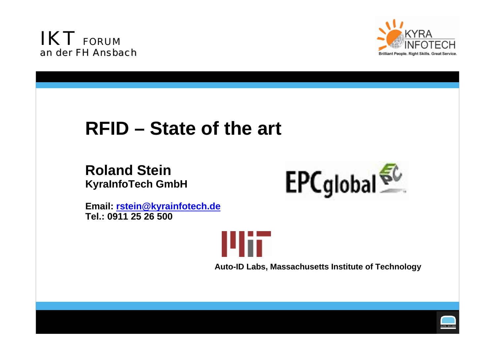<span id="page-0-0"></span>



# **RFID – State of the art**

## **Roland SteinKyraInfoTech GmbH**



**Email: [rstein@kyrainfotech.de](mailto:rstein@kyrainfotech.de) Tel.: 0911 25 26 500**



**Auto-ID Labs, Massachusetts Institute of Technology**

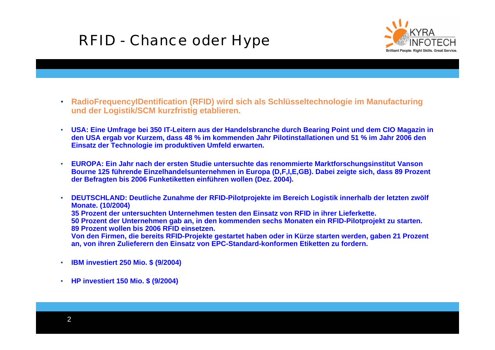# RFID - Chance oder Hype



- $\bullet$  **RadioFrequencyIDentification (RFID) wird sich als Schlüsseltechnologie im Manufacturing und der Logistik/SCM kurzfristig etablieren.**
- • **USA: Eine Umfrage bei 350 IT-Leitern aus der Handelsbranche durch Bearing Point und dem CIO Magazin in den USA ergab vor Kurzem, dass 48 % im kommenden Jahr Pilotinstallationen und 51 % im Jahr 2006 den Einsatz der Technologie im produktiven Umfeld erwarten.**
- • **EUROPA: Ein Jahr nach der ersten Studie untersuchte das renommierte Marktforschungsinstitut Vanson Bourne 125 führende Einzelhandelsunternehmen in Europa (D,F,I,E,GB). Dabei zeigte sich, dass 89 Prozent der Befragten bis 2006 Funketiketten einführen wollen (Dez. 2004).**
- • **DEUTSCHLAND: Deutliche Zunahme der RFID-Pilotprojekte im Bereich Logistik innerhalb der letzten zwölf Monate. (10/2004) 35 Prozent der untersuchten Unternehmen testen den Einsatz von RFID in ihrer Lieferkette. 50 Prozent der Unternehmen gab an, in den kommenden sechs Monaten ein RFID-Pilotprojekt zu starten.**

**89 Prozent wollen bis 2006 RFID einsetzen.** 

**Von den Firmen, die bereits RFID-Projekte gestartet haben oder in Kürze starten werden, gaben 21 Prozent an, von ihren Zulieferern den Einsatz von EPC-Standard-konformen Etiketten zu fordern.**

- •**IBM investiert 250 Mio. \$ (9/2004)**
- •**HP investiert 150 Mio. \$ (9/2004)**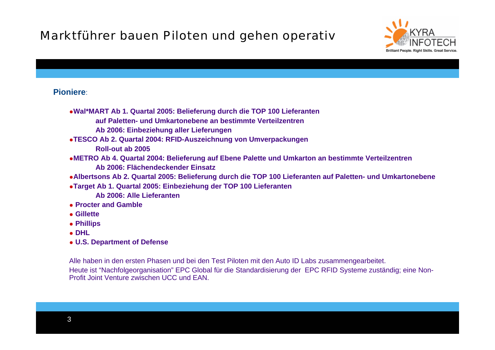## Marktführer bauen Piloten und gehen operativ



### **Pioniere**:

- **Wal\*MART Ab 1. Quartal 2005: Belieferung durch die TOP 100 Lieferanten auf Paletten- und Umkartonebene an bestimmte Verteilzentren**
	- **Ab 2006: Einbeziehung aller Lieferungen**
- **TESCO Ab 2. Quartal 2004: RFID-Auszeichnung von Umverpackungen Roll-out ab 2005**
- **METRO Ab 4. Quartal 2004: Belieferung auf Ebene Palette und Umkarton an bestimmte Verteilzentren Ab 2006: Flächendeckender Einsatz**
- **Albertsons Ab 2. Quartal 2005: Belieferung durch die TOP 100 Lieferanten auf Paletten- und Umkartonebene**
- **Target Ab 1. Quartal 2005: Einbeziehung der TOP 100 Lieferanten**
	- **Ab 2006: Alle Lieferanten**
- **Procter and Gamble**
- **Gillette**
- **Phillips**
- **DHL**
- **U.S. Department of Defense**

Alle haben in den ersten Phasen und bei den Test Piloten mit den Auto ID Labs zusammengearbeitet. Heute ist "Nachfolgeorganisation" EPC Global für die Standardisierung der EPC RFID Systeme zuständig; eine Non-Profit Joint Venture zwischen UCC und EAN.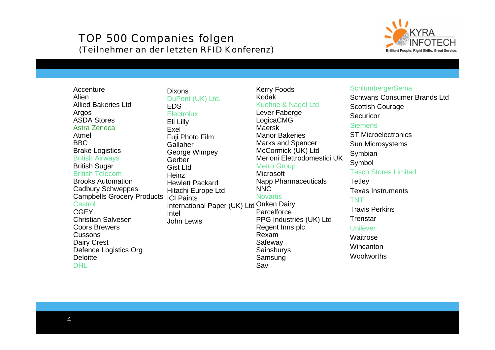### TOP 500 Companies folgen (Teilnehmer an der letzten RFID Konferenz)



**Accenture** AlienAllied Bakeries LtdArgos ASDA StoresAstra Zeneca AtmelBBC Brake Logistics British Airways British Sugar British TelecomBrooks AutomationCadbury Schweppes Campbells Grocery Products ICI Paints Castrol**CGEY** Christian SalvesenCoors Brewers**Cussons** Dairy Crest Defence Logistics Org **Deloitte** DHL

International Paper (UK) Ltd Onken Dairy DixonsDuPont (UK) Ltd. EDS**Electrolux** Eli Lilly ExelFuji Photo Film GallaherGeorge Wimpey Gerber Gist LtdHeinz Hewlett PackardHitachi Europe Ltd IntelJohn Lewis

#### Kerry Foods Kodak Kuehne & Nagel Ltd

Lever Faberge LogicaCMG MaerskManor BakeriesMarks and Spencer McCormick (UK) Ltd Merloni Elettrodomestici UKMetro Group Microsoft Napp Pharmaceuticals NNC **Novartis Parcelforce** PPG Industries (UK) Ltd Regent Inns plc RexamSafeway **Sainsburys** Samsung

Savi

#### **SchlumbergerSema**

Schwans Consumer Brands Ltd Scottish Courage **Securicor Siemens** ST MicroelectronicsSun Microsystems Symbian Symbol Tesco Stores Limited **Tetley** Texas Instruments TNTTravis Perkins**Trenstar** UnileverWaitrose**Wincanton Woolworths**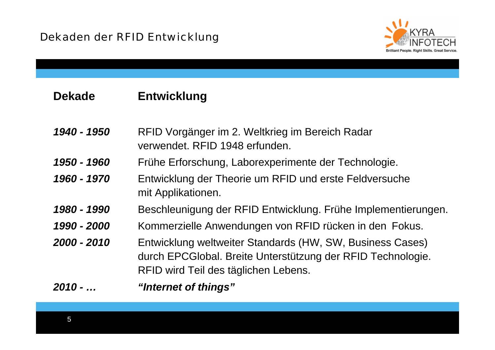

#### **DekadeEntwicklung**

*1940 - 1950* RFID Vorgänger im 2. Weltkrieg im Bereich Radar verwendet. RFID 1948 erfunden.

- *1950 - 1960*Frühe Erforschung, Laborexperimente der Technologie.
- *1960 - 1970* Entwicklung der Theorie um RFID und erste Feldversuche mit Applikationen.
- *1980 - 1990*Beschleunigung der RFID Entwicklung. Frühe Implementierungen.
- *1990 - 2000*Kommerzielle Anwendungen von RFID rücken in den Fokus.
- *2000 - 2010* Entwicklung weltweiter Standards (HW, SW, Business Cases) durch EPCGlobal. Breite Unterstützung der RFID Technologie. RFID wird Teil des täglichen Lebens.

*2010 - …"Internet of things"*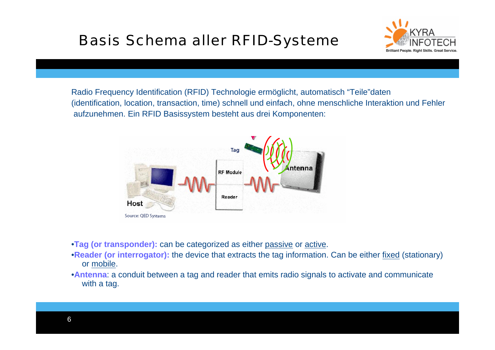# Basis Schema aller RFID-Systeme



Radio Frequency Identification (RFID) Technologie ermöglicht, automatisch "Teile"daten (identification, location, transaction, time) schnell und einfach, ohne menschliche Interaktion und Fehler aufzunehmen. Ein RFID Basissystem besteht aus drei Komponenten:



- •**Tag (or transponder):** can be categorized as either passive or active.
- •**Reader (or interrogator):** the device that extracts the tag information. Can be either fixed (stationary) or mobile.
- •**Antenna**: a conduit between a tag and reader that emits radio signals to activate and communicate with a tag.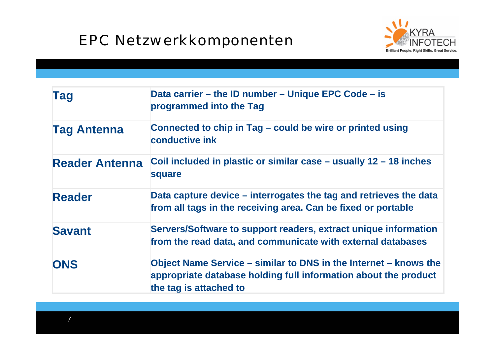# EPC Netzwerkkomponenten



| <b>Tag</b>            | Data carrier – the ID number – Unique EPC Code – is<br>programmed into the Tag                                                                                |
|-----------------------|---------------------------------------------------------------------------------------------------------------------------------------------------------------|
| <b>Tag Antenna</b>    | Connected to chip in Tag - could be wire or printed using<br>conductive ink                                                                                   |
| <b>Reader Antenna</b> | Coil included in plastic or similar case $-$ usually 12 $-$ 18 inches<br>square                                                                               |
| <b>Reader</b>         | Data capture device – interrogates the tag and retrieves the data<br>from all tags in the receiving area. Can be fixed or portable                            |
| <b>Savant</b>         | Servers/Software to support readers, extract unique information<br>from the read data, and communicate with external databases                                |
| <b>ONS</b>            | Object Name Service – similar to DNS in the Internet – knows the<br>appropriate database holding full information about the product<br>the tag is attached to |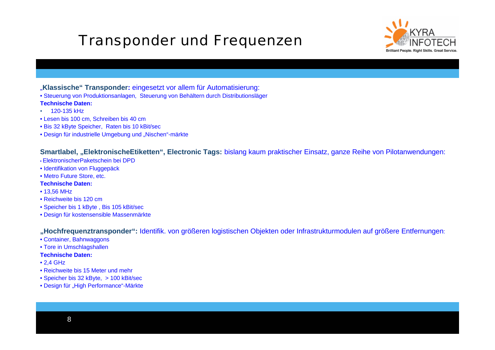# Transponder und Frequenzen



- "**Klassische" Transponder:** eingesetzt vor allem für Automatisierung:
- Steuerung von Produktionsanlagen, Steuerung von Behältern durch Distributionsläger

#### **Technische Daten:**

- •120-135 kHz
- Lesen bis 100 cm, Schreiben bis 40 cm
- Bis 32 kByte Speicher, Raten bis 10 kBit/sec
- Design für industrielle Umgebung und "Nischen"-märkte

#### **Smartlabel, "ElektronischeEtiketten", Electronic Tags:** bislang kaum praktischer Einsatz, ganze Reihe von Pilotanwendungen:

- ElektronischerPaketschein bei DPD
- Identifikation von Fluggepäck
- Metro Future Store, etc.

#### **Technische Daten:**

- 13,56 MHz
- Reichweite bis 120 cm
- Speicher bis 1 kByte , Bis 105 kBit/sec
- Design für kostensensible Massenmärkte

**"Hochfrequenztransponder":** Identifik. von größeren logistischen Objekten oder Infrastrukturmodulen auf größere Entfernungen:

- Container, Bahnwaggons
- Tore in Umschlagshallen
- **Technische Daten:**
- 2,4 GHz
- Reichweite bis 15 Meter und mehr
- Speicher bis 32 kByte, > 100 kBit/sec
- Design für "High Performance"-Märkte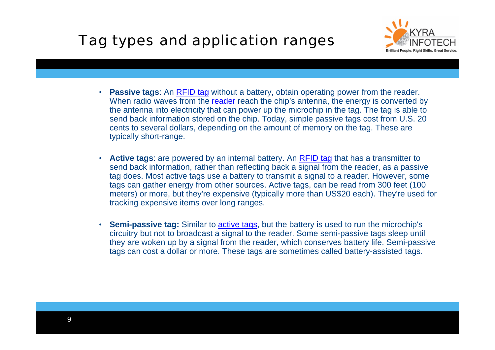# Tag types and application ranges



- **Passive tags**: An [RFID tag](#page-0-0) without a battery, obtain operating power from the reader. When radio waves from the <u>reader</u> reach the chip's antenna, the energy is converted by the antenna into electricity that can power up the microchip in the tag. The tag is able to send back information stored on the chip. Today, simple passive tags cost from U.S. 20 cents to several dollars, depending on the amount of memory on the tag. These are typically short-range.
- **Active tags**: are powered by an internal battery. An [RFID tag](#page-0-0) that has a transmitter to send back information, rather than reflecting back a signal from the reader, as a passive tag does. Most active tags use a battery to transmit a signal to a reader. However, some tags can gather energy from other sources. Active tags, can be read from 300 feet (100 meters) or more, but they're expensive (typically more than US\$20 each). They're used for tracking expensive items over long ranges.
- Semi-passive tag: Similar to **active tags**, but the battery is used to run the microchip's circuitry but not to broadcast a signal to the reader. Some semi-passive tags sleep until they are woken up by a signal from the reader, which conserves battery life. Semi-passive tags can cost a dollar or more. These tags are sometimes called battery-assisted tags.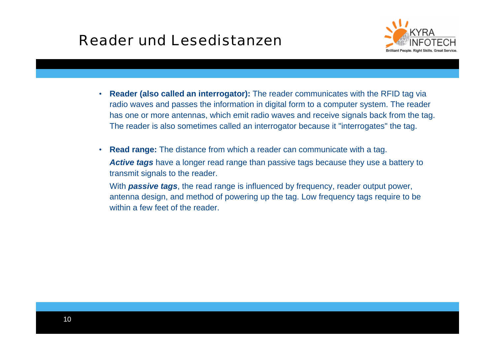# Reader und Lesedistanzen



- • **Reader (also called an interrogator):** The reader communicates with the RFID tag via radio waves and passes the information in digital form to a computer system. The reader has one or more antennas, which emit radio waves and receive signals back from the tag. The reader is also sometimes called an interrogator because it "interrogates" the tag.
- **Read range:** The distance from which a reader can communicate with a tag. *Active tags* have a longer read range than passive tags because they use a battery to transmit signals to the reader.

With *passive tags*, the read range is influenced by frequency, reader output power, antenna design, and method of powering up the tag. Low frequency tags require to be within a few feet of the reader.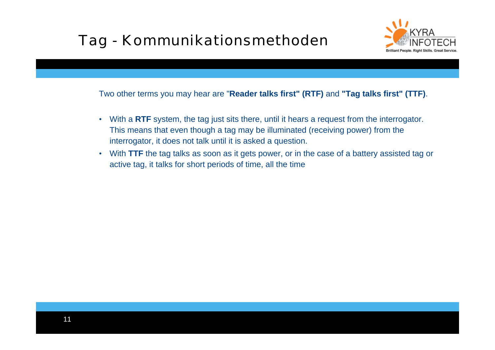# Tag - Kommunikationsmethoden



Two other terms you may hear are "**Reader talks first" (RTF)** and **"Tag talks first" (TTF)**.

- With a **RTF** system, the tag just sits there, until it hears a request from the interrogator. This means that even though a tag may be illuminated (receiving power) from the interrogator, it does not talk until it is asked a question.
- With **TTF** the tag talks as soon as it gets power, or in the case of a battery assisted tag or active tag, it talks for short periods of time, all the time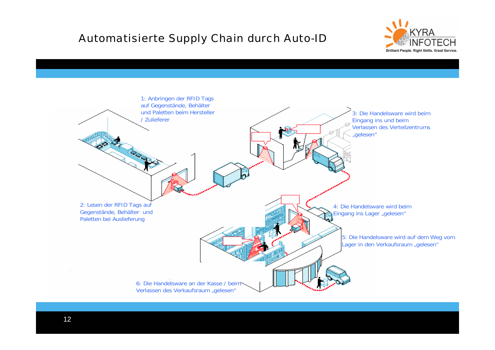### Automatisierte Supply Chain durch Auto-ID



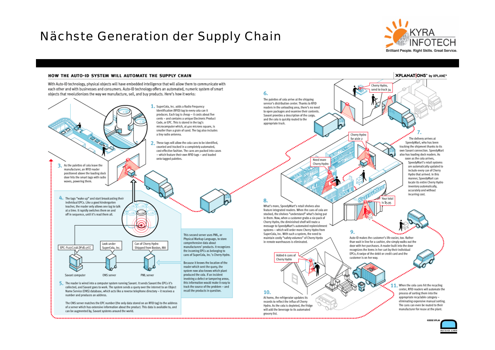## Nächste Generation der Supply Chain



**XPLANATIONS**" by XPLANE"

#### HOW THE AUTO-ID SYSTEM WILL AUTOMATE THE SUPPLY CHAIN



grocery list.

13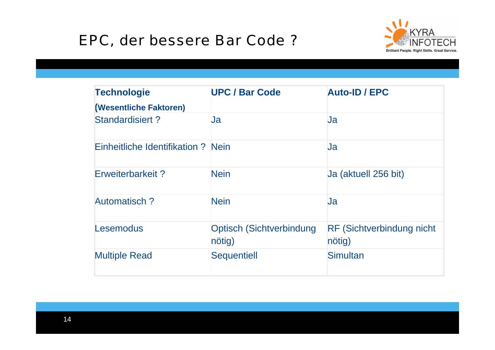# EPC, der bessere Bar Code ?



| <b>Technologie</b><br>(Wesentliche Faktoren) | <b>UPC / Bar Code</b>                     | <b>Auto-ID / EPC</b>                        |
|----------------------------------------------|-------------------------------------------|---------------------------------------------|
| <b>Standardisiert?</b>                       | <u>Ja</u>                                 | <b>Ja</b>                                   |
| Einheitliche Identifikation ? Nein           |                                           | <b>Ja</b>                                   |
| Erweiterbarkeit?                             | <b>Nein</b>                               | Ja (aktuell 256 bit)                        |
| <b>Automatisch?</b>                          | <b>Nein</b>                               | <b>Ja</b>                                   |
| <b>Lesemodus</b>                             | <b>Optisch (Sichtverbindung</b><br>nötig) | <b>RF (Sichtverbindung nicht)</b><br>nötig) |
| <b>Multiple Read</b>                         | <b>Sequentiell</b>                        | <b>Simultan</b>                             |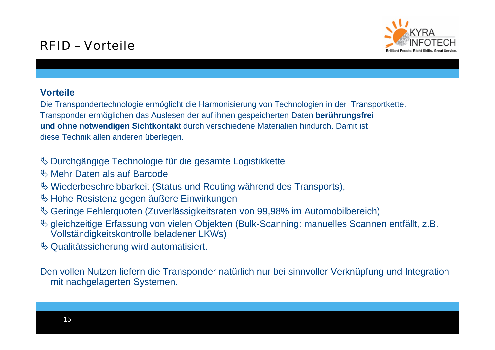

### **Vorteile**

Die Transpondertechnologie ermöglicht die Harmonisierung von Technologien in der Transportkette. Transponder ermöglichen das Auslesen der auf ihnen gespeicherten Daten **berührungsfrei und ohne notwendigen Sichtkontakt** durch verschiedene Materialien hindurch. Damit ist diese Technik allen anderen überlegen.

- ª Durchgängige Technologie für die gesamte Logistikkette
- $\%$  Mehr Daten als auf Barcode
- $\%$  Wiederbeschreibbarkeit (Status und Routing während des Transports),
- $\%$  Hohe Resistenz gegen äußere Einwirkungen
- <sup> $4$ </sup> Geringe Fehlerquoten (Zuverlässigkeitsraten von 99,98% im Automobilbereich)
- ª gleichzeitige Erfassung von vielen Objekten (Bulk-Scanning: manuelles Scannen entfällt, z.B. Vollständigkeitskontrolle beladener LKWs)
- $\&$  Qualitätssicherung wird automatisiert.

Den vollen Nutzen liefern die Transponder natürlich nur bei sinnvoller Verknüpfung und Integration mit nachgelagerten Systemen.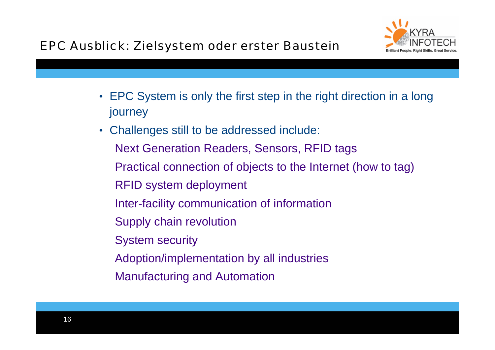

- EPC System is only the first step in the right direction in a long journey
- Challenges still to be addressed include: Next Generation Readers, Sensors, RFID tags Practical connection of objects to the Internet (how to tag) RFID system deployment Inter-facility communication of information Supply chain revolution System security Adoption/implementation by all industries Manufacturing and Automation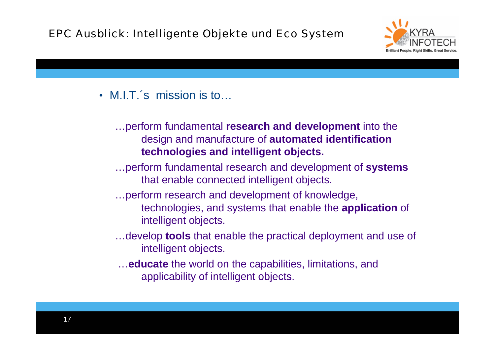### EPC Ausblick: Intelligente Objekte und Eco System



• M.I.T.´s mission is to…

…perform fundamental **research and development** into the design and manufacture of **automated identification technologies and intelligent objects.**

- …perform fundamental research and development of **systems** that enable connected intelligent objects.
- …perform research and development of knowledge,
	- technologies, and systems that enable the **application** of intelligent objects.
- …develop **tools** that enable the practical deployment and use of intelligent objects.
- …**educate** the world on the capabilities, limitations, and applicability of intelligent objects.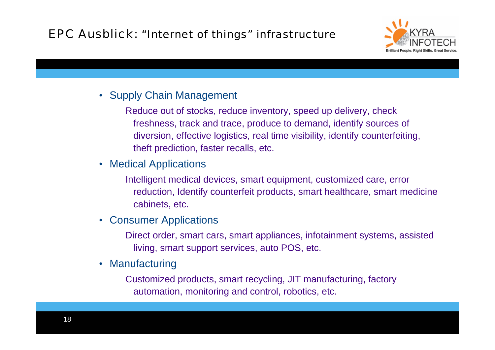## EPC Ausblick: "Internet of things" infrastructure



### • Supply Chain Management

Reduce out of stocks, reduce inventory, speed up delivery, check freshness, track and trace, produce to demand, identify sources of diversion, effective logistics, real time visibility, identify counterfeiting, theft prediction, faster recalls, etc.

• Medical Applications

Intelligent medical devices, smart equipment, customized care, error reduction, Identify counterfeit products, smart healthcare, smart medicine cabinets, etc.

 $\bullet$ Consumer Applications

> Direct order, smart cars, smart appliances, infotainment systems, assisted living, smart support services, auto POS, etc.

• Manufacturing

Customized products, smart recycling, JIT manufacturing, factory automation, monitoring and control, robotics, etc.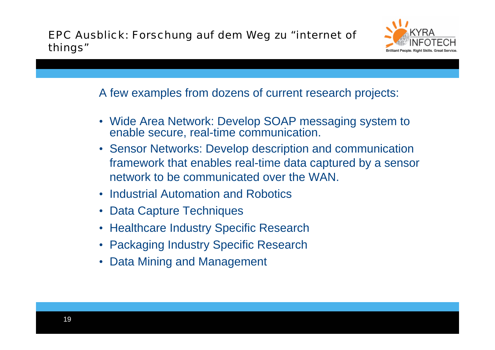

A few examples from dozens of current research projects:

- Wide Area Network: Develop SOAP messaging system to enable secure, real-time communication.
- Sensor Networks: Develop description and communication framework that enables real-time data captured by a sensor network to be communicated over the WAN.
- Industrial Automation and Robotics
- Data Capture Techniques
- Healthcare Industry Specific Research
- Packaging Industry Specific Research
- Data Mining and Management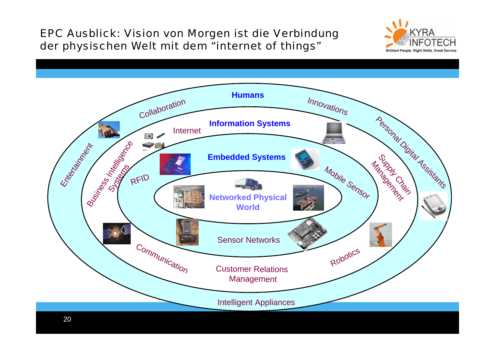### EPC Ausblick: Vision von Morgen ist die Verbindung der physischen Welt mit dem "internet of things"



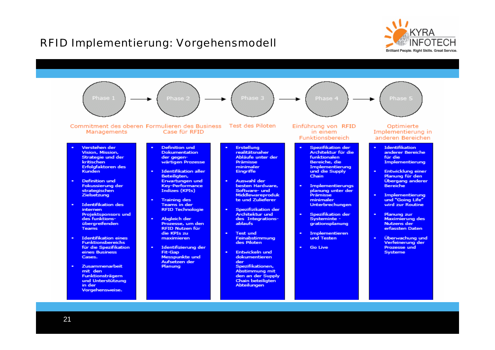### RFID Implementierung: Vorgehensmodell



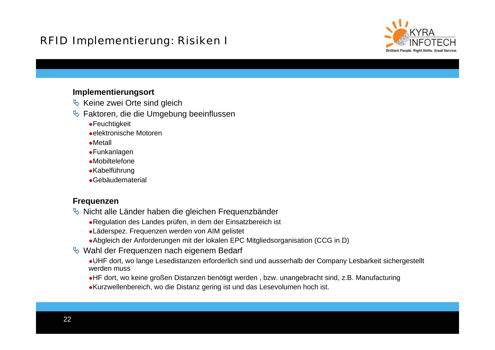### RFID Implementierung: Risiken I

![](_page_21_Picture_1.jpeg)

#### **Implementierungsort**

- $\%$  Keine zwei Orte sind gleich
- $\&$  Faktoren, die die Umgebung beeinflussen
	- Feuchtigkeit
	- elektronische Motoren
	- Metall
	- Funkanlagen
	- Mobiltelefone
	- Kabelführung
	- Gebäudematerial

### **Frequenzen**

- $\%$  Nicht alle Länder haben die gleichen Frequenzbänder
	- Regulation des Landes prüfen, in dem der Einsatzbereich ist
	- Läderspez. Frequenzen werden von AIM gelistet
	- Abgleich der Anforderungen mit der lokalen EPC Mitgliedsorganisation (CCG in D)
- $\%$  Wahl der Frequenzen nach eigenem Bedarf
	- UHF dort, wo lange Lesedistanzen erforderlich sind und ausserhalb der Company Lesbarkeit sichergestellt werden muss
	- HF dort, wo keine großen Distanzen benötigt werden , bzw. unangebracht sind, z.B. Manufacturing
	- Kurzwellenbereich, wo die Distanz gering ist und das Lesevolumen hoch ist.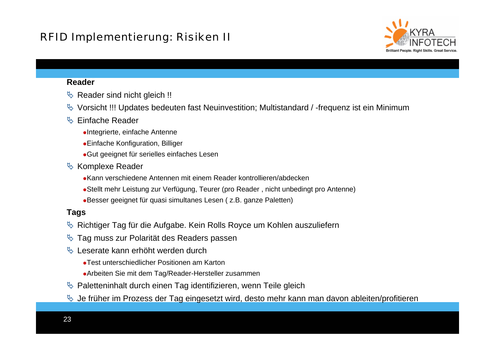![](_page_22_Picture_1.jpeg)

#### **Reader**

- $\%$  Reader sind nicht gleich !!
- $\%$  Vorsicht !!! Updates bedeuten fast Neuinvestition; Multistandard / -frequenz ist ein Minimum

### $\%$  Einfache Reader

- Integrierte, einfache Antenne
- Einfache Konfiguration, Billiger
- Gut geeignet für serielles einfaches Lesen
- $\&$  Komplexe Reader
	- Kann verschiedene Antennen mit einem Reader kontrollieren/abdecken
	- Stellt mehr Leistung zur Verfügung, Teurer (pro Reader , nicht unbedingt pro Antenne)
	- Besser geeignet für quasi simultanes Lesen ( z.B. ganze Paletten)

### **Tags**

- $\%$  Richtiger Tag für die Aufgabe. Kein Rolls Royce um Kohlen auszuliefern
- $\%$  Tag muss zur Polarität des Readers passen
- $\%$  Leserate kann erhöht werden durch
	- Test unterschiedlicher Positionen am Karton
	- Arbeiten Sie mit dem Tag/Reader-Hersteller zusammen
- $\%$  Paletteninhalt durch einen Tag identifizieren, wenn Teile gleich
- $\%$  Je früher im Prozess der Tag eingesetzt wird, desto mehr kann man davon ableiten/profitieren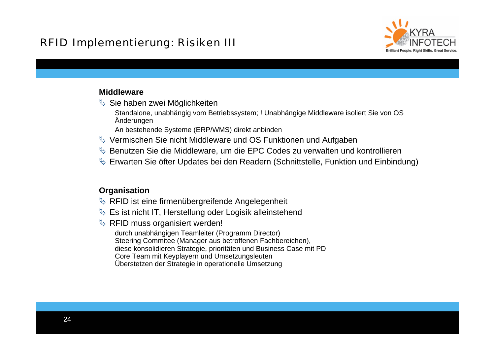### RFID Implementierung: Risiken III

![](_page_23_Picture_1.jpeg)

### **Middleware**

- $\%$  Sie haben zwei Möglichkeiten
	- Standalone, unabhängig vom Betriebssystem; ! Unabhängige Middleware isoliert Sie von OS Änderungen
	- An bestehende Systeme (ERP/WMS) direkt anbinden
- $\%$  Vermischen Sie nicht Middleware und OS Funktionen und Aufgaben
- $\%$  Benutzen Sie die Middleware, um die EPC Codes zu verwalten und kontrollieren
- $\%$  Erwarten Sie öfter Updates bei den Readern (Schnittstelle, Funktion und Einbindung)

### **Organisation**

- $\%$  RFID ist eine firmenübergreifende Angelegenheit
- $\&$  Es ist nicht IT, Herstellung oder Logisik alleinstehend
- $\%$  RFID muss organisiert werden!

durch unabhängigen Teamleiter (Programm Director) Steering Commitee (Manager aus betroffenen Fachbereichen), diese konsolidieren Strategie, prioritäten und Business Case mit PD Core Team mit Keyplayern und Umsetzungsleuten Überstetzen der Strategie in operationelle Umsetzung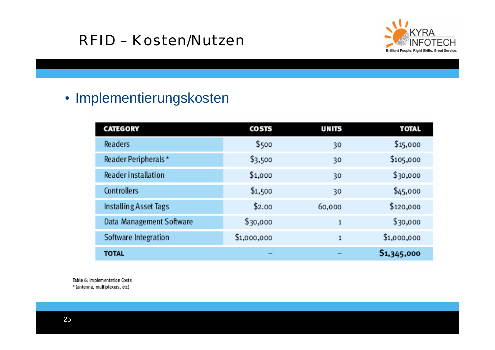# RFID – Kosten/Nutzen

![](_page_24_Picture_1.jpeg)

# • Implementierungskosten

| <b>CATEGORY</b>            | <b>COSTS</b> | <b>UNITS</b> | <b>TOTAL</b> |
|----------------------------|--------------|--------------|--------------|
| Readers                    | \$500        | 30           | \$15,000     |
| Reader Peripherals*        | \$3,500      | 30           | \$105,000    |
| <b>Reader installation</b> | \$1,000      | 30           | \$30,000     |
| Controllers                | \$1,500      | 30           | \$45,000     |
| Installing Asset Tags      | \$2.00       | 60,000       | \$120,000    |
| Data Management Software   | \$30,000     | $\mathbf{1}$ | \$30,000     |
| Software Integration       | \$1,000,000  | $\mathbf{1}$ | \$1,000,000  |
| <b>TOTAL</b>               |              |              | \$1,345,000  |

Table 6: Implementation Costs

\* (antenna, multiplexers, etc)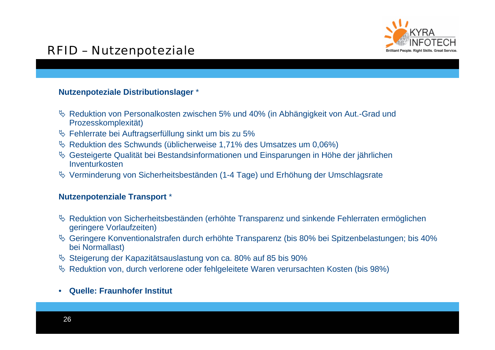![](_page_25_Picture_0.jpeg)

## RFID – Nutzenpoteziale

### **Nutzenpoteziale Distributionslager** \*

- ª Reduktion von Personalkosten zwischen 5% und 40% (in Abhängigkeit von Aut.-Grad und Prozesskomplexität)
- $\%$  Fehlerrate bei Auftragserfüllung sinkt um bis zu 5%
- $\%$  Reduktion des Schwunds (üblicherweise 1,71% des Umsatzes um 0,06%)
- $\%$  Gesteigerte Qualität bei Bestandsinformationen und Einsparungen in Höhe der jährlichen Inventurkosten
- $\%$  Verminderung von Sicherheitsbeständen (1-4 Tage) und Erhöhung der Umschlagsrate

#### **Nutzenpotenziale Transport** \*

- $\%$  Reduktion von Sicherheitsbeständen (erhöhte Transparenz und sinkende Fehlerraten ermöglichen geringere Vorlaufzeiten)
- ª Geringere Konventionalstrafen durch erhöhte Transparenz (bis 80% bei Spitzenbelastungen; bis 40% bei Normallast)
- $\%$  Steigerung der Kapazitätsauslastung von ca. 80% auf 85 bis 90%
- $\%$  Reduktion von, durch verlorene oder fehlgeleitete Waren verursachten Kosten (bis 98%)
- •**Quelle: Fraunhofer Institut**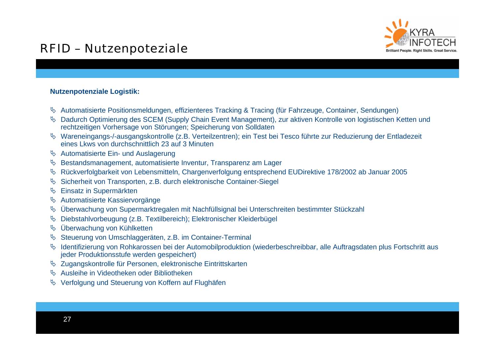## RFID – Nutzenpoteziale

![](_page_26_Picture_1.jpeg)

#### **Nutzenpotenziale Logistik:**

- ª Automatisierte Positionsmeldungen, effizienteres Tracking & Tracing (für Fahrzeuge, Container, Sendungen)
- ª Dadurch Optimierung des SCEM (Supply Chain Event Management), zur aktiven Kontrolle von logistischen Ketten und rechtzeitigen Vorhersage von Störungen; Speicherung von Solldaten
- ª Wareneingangs-/-ausgangskontrolle (z.B. Verteilzentren); ein Test bei Tesco führte zur Reduzierung der Entladezeit eines Lkws von durchschnittlich 23 auf 3 Minuten
- $\%$  Automatisierte Ein- und Auslagerung
- $\%$  Bestandsmanagement, automatisierte Inventur, Transparenz am Lager
- ª Rückverfolgbarkeit von Lebensmitteln, Chargenverfolgung entsprechend EUDirektive 178/2002 ab Januar 2005
- ª Sicherheit von Transporten, z.B. durch elektronische Container-Siegel
- $\%$  Einsatz in Supermärkten
- ª Automatisierte Kassiervorgänge
- ª Überwachung von Supermarktregalen mit Nachfüllsignal bei Unterschreiten bestimmter Stückzahl
- $\%$  Diebstahlvorbeugung (z.B. Textilbereich); Elektronischer Kleiderbügel
- $\%$  Überwachung von Kühlketten
- $\&$  Steuerung von Umschlaggeräten, z.B. im Container-Terminal
- ª Identifizierung von Rohkarossen bei der Automobilproduktion (wiederbeschreibbar, alle Auftragsdaten plus Fortschritt aus jeder Produktionsstufe werden gespeichert)
- ª Zugangskontrolle für Personen, elektronische Eintrittskarten
- & Ausleihe in Videotheken oder Bibliotheken
- $\%$  Verfolgung und Steuerung von Koffern auf Flughäfen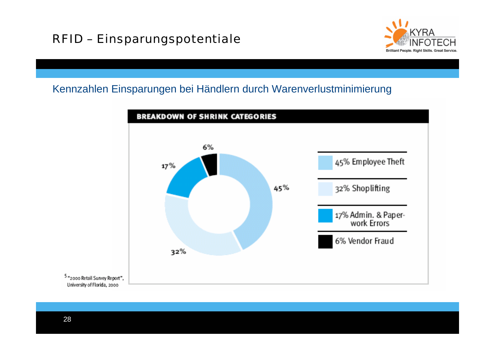![](_page_27_Picture_1.jpeg)

### Kennzahlen Einsparungen bei Händlern durch Warenverlustminimierung

![](_page_27_Figure_3.jpeg)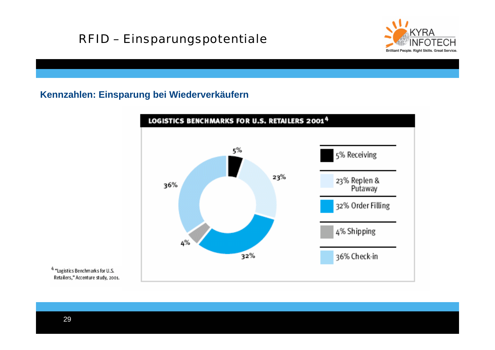## RFID – Einsparungspotentiale

![](_page_28_Picture_1.jpeg)

### **Kennzahlen: Einsparung bei Wiederverkäufern**

![](_page_28_Figure_3.jpeg)

<sup>4</sup> "Logistics Benchmarks for U.S. Retailers," Accenture study, 2001.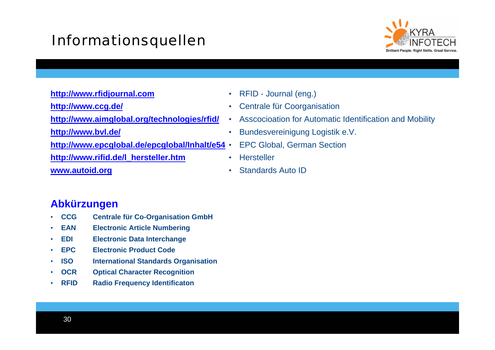# Informationsquellen

![](_page_29_Picture_1.jpeg)

**[http://www.rfidjournal.com](http://www.rfidjournal.com/) <http://www.ccg.de/>**

**<http://www.aimglobal.org/technologies/rfid/>**

**<http://www.bvl.de/>**

**<http://www.epcglobal.de/epcglobal/Inhalt/e54>** •

**[http://www.rifid.de/l\\_hersteller.htm](http://www.rifid.de/l_hersteller.htm)**

**[www.autoid.org](http://www.autoid.org/)**

- •RFID - Journal (eng.)
- $\bullet$ Centrale für Coorganisation
- $\bullet$ Asscocioation for Automatic Identification and Mobility
- •Bundesvereinigung Logistik e.V.
- EPC Global, German Section
- •**Hersteller**
- •Standards Auto ID

### **Abkürzungen**

- •**CCG Centrale für Co-Organisation GmbH**
- •**EAN Electronic Article Numbering**
- •**EDI Electronic Data Interchange**
- •**EPC Electronic Product Code**
- •**ISO** International Standards Organisation
- •**OCR Optical Character Recognition**
- •**RFID Radio Frequency Identificaton**